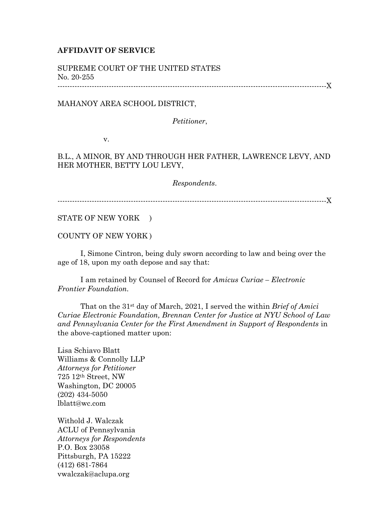## **AFFIDAVIT OF SERVICE**

SUPREME COURT OF THE UNITED STATES No. 20-255

--------------------------------------------------------------------------------------------------------------X

## MAHANOY AREA SCHOOL DISTRICT,

*Petitioner*,

v.

## B.L., A MINOR, BY AND THROUGH HER FATHER, LAWRENCE LEVY, AND HER MOTHER, BETTY LOU LEVY,

*Respondents*.

--------------------------------------------------------------------------------------------------------------X

STATE OF NEW YORK )

COUNTY OF NEW YORK )

I, Simone Cintron, being duly sworn according to law and being over the age of 18, upon my oath depose and say that:

I am retained by Counsel of Record for *Amicus Curiae – Electronic Frontier Foundation.*

That on the 31st day of March, 2021, I served the within *Brief of Amici Curiae Electronic Foundation, Brennan Center for Justice at NYU School of Law and Pennsylvania Center for the First Amendment in Support of Respondents* in the above-captioned matter upon:

Lisa Schiavo Blatt Williams & Connolly LLP *Attorneys for Petitioner* 725 12th Street, NW Washington, DC 20005 (202) 434-5050 lblatt@wc.com

Withold J. Walczak ACLU of Pennsylvania *Attorneys for Respondents* P.O. Box 23058 Pittsburgh, PA 15222 (412) 681-7864 vwalczak@aclupa.org